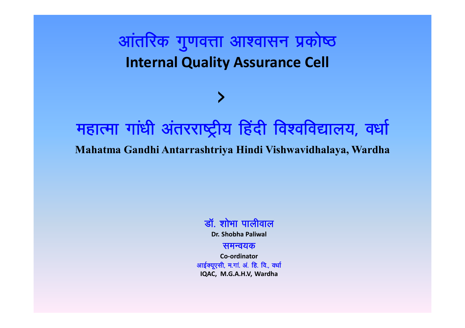# आंतरिक गुणवत्ता आश्वासन प्रकोष्ठ **Internal Quality Assurance Cell**

# महात्मा गांधी अंतरराष्ट्रीय हिंदी विश्वविद्यालय, वर्धा Mahatma Gandhi Antarrashtriya Hindi Vishwavidhalaya, Wardha



### समन्वयक

Co-ordinator आईक्यूएसी, म.गां. अं. हि. वि., वर्धा IQAC, M.G.A.H.V, Wardha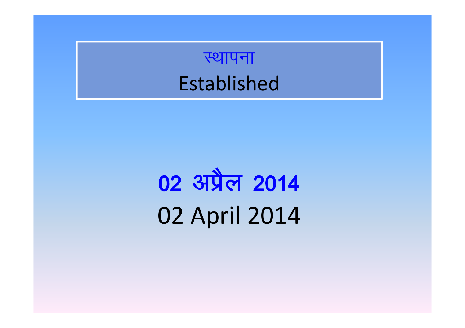# स्थापना Established

# 02 अप्रैल 2014 02 April 2014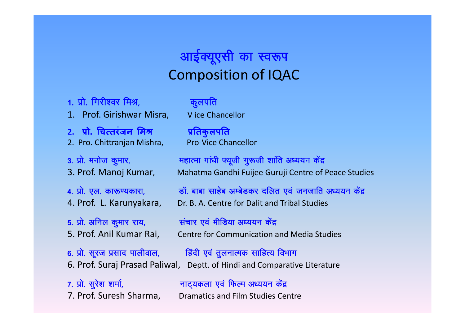# **आईक्यूएसी का स्वरूप** Composition of IQAC

1. प्रो. गिरीश्वर मिश्र, संस्थान कुलपति

- 1. Prof. Girishwar Misra, V ice Chancellor
- 2. प्रो. चित्तरंजन मिश्र ब्यातिकुलपति 2. Pro. Chittranian Mishra, Pro-Vice Chancellor

**3- i zk s- euk st d qekj] egkRek xk a/kh ¶;wth x q:th "kk afr v/;;u d asn z** 3. Prof. Manoj Kumar, Mahatma Gandhi Fuijee Guruji Centre of Peace Studies

**4- i zk s- ,y- dk:.;dkjk] Mk W- ckck lkg sc vEc sMdj nfyr ,o a tutkfr v/;;u d san z**

4. Prof. L. Karunyakara, Dr. B. A. Centre for Dalit and Tribal Studies

**5- i zk s- vfuy d qekj jk;] l apkj ,o a ehfM;k v/;;u d san z** 5. Prof. Anil Kumar Rai, Centre for Communication and Media Studies

**6- i zk s- l wjt i zlkn ikyhoky] fg anh ,o a r qyukRed lkfgR; foHkkx** 6. Prof. Suraj Prasad Paliwal, Deptt. of Hindi and Comparative Literature

**7- i zk s- l qj s"k "kek Z] ukV~;dyk ,o a fQYe v/;;u d san z** 7. Prof. Suresh Sharma, Dramatics and Film Studies Centre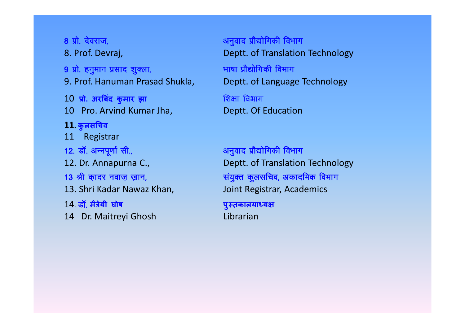**8 i zk s- n sojkt] vu qokn i zk S|k sfxdh foHkkx 9 i zk s- gu qeku i zlkn "k qDyk] Hkk'kk i zk S|k sfxdh foHkkx** 10 प्रो. अरबिंद कुमार झा बाल बाल बाल बिक्षा विभाग 10 Pro. Arvind Kumar Jha, Burnessen Deptt. Of Education **11. कु लसͬचव** 11 Registrar 12. डॉ. अन्नपूर्णा सी., सर्कट का सामान अनुवाद प्रौद्योगिकी विभाग 13. Shri Kadar Nawaz Khan, Joint Registrar, Academics 14. **Mk W- मैğेयी घोष पुèतकालयाÚय¢** 14 Dr. Maitreyi Ghosh Librarian

8. Prof. Devraj, **B. A. A. A. A. A. A. A. A. A. Deptt.** of Translation Technology 9. Prof. Hanuman Prasad Shukla, Beptt. of Language Technology

12. Dr. Annapurna C., Deptt. of Translation Technology 13 श्री कादर नवाज़ ख़ान, बाल के बाद के संयुक्त कुलसचिव, अकादमिक विभाग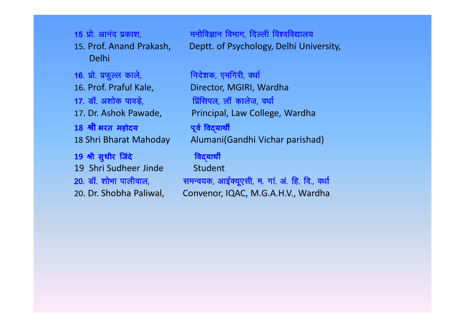Delhi 16. प्रो. प्रफुल्ल काले, <u>सांसिक निर्देशक, एमगिरी, वर्धा</u> 16. Prof. Praful Kale, Director, MGIRI, Wardha 17. डॉ. अशोक पावड़े, सारा कालेज, बर्धा 18 श्री भरत महोदय बाद से पूर्व विदयार्थी 19 श्री सुधीर जिंदे <u>बाद बार्श</u> विद्यार्थी 19 Shri Sudheer Jinde Student 20. डॉ. शोभा पालीवाल, समन्वयक, आईक्यूएसी, म. गां. अं. हि. वि., वर्धा

15 प्रो. आनंद प्रकाश, <u>सांस को मनोविज्ञान विभाग, दिल्ली विश्वविद्यालय</u> 15. Prof. Anand Prakash, Deptt. of Psychology, Delhi University,

17. Dr. Ashok Pawade, Principal, Law College, Wardha 18 Shri Bharat Mahoday Alumani(Gandhi Vichar parishad)

20. Dr. Shobha Paliwal, Convenor, IQAC, M.G.A.H.V., Wardha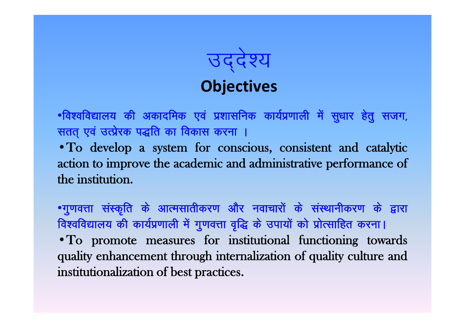उद्देश्य<br>Objectives

•विश्वविद्यालय की अकादमिक एवं प्रशासनिक कार्यप्रणाली में सुधार हेतु सजग, सतत एवं उत्प्रेरक पद्धति का विकास करना ।

• To develop a system for conscious, consistent and catalytic action to improve the academic and administrative performance of the institution.

•गुणवत्ता संस्कृति के आत्मसातीकरण और नवाचारों के संस्थानीकरण के द्वारा विश्वविद्यालय की कार्यप्रणाली में गुणवत्ता वृद्धि के उपायों को प्रोत्साहित करना। • To promote measures for institutional functioning towards quality enhancement through internalization of quality culture and institutionalization of best practices.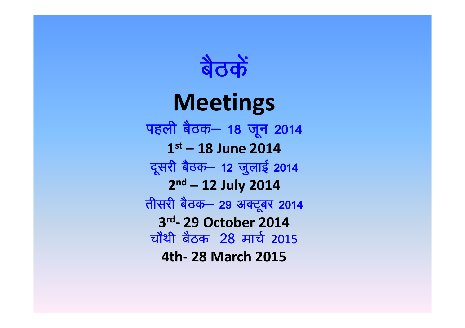

# **Meetings**

पहली बैठक– 18 जून 2014 **1 st – 18 June 2014** दूसरी बैठक– 12 जुलाई 2014 **2 nd – 12 July 2014 तीसरी बैठक– 29 अक्टूबर 2014 3 rd - 29 October 2014** चौथी बैठक-- 28 मार्च 2015 **4th- 28 March 2015**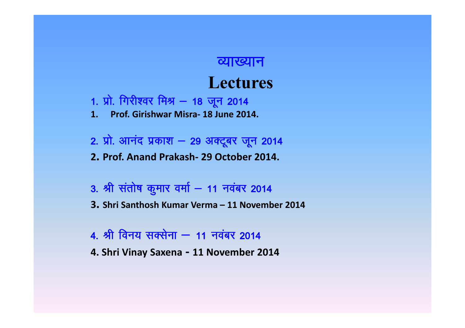### <u>त्याख्यान</u>

# **Lectures**

- 1. प्रो. गिरीश्वर मिश्र 18 जून 2014
- **1. Prof. Girishwar Misra- 18 June 2014.**
- **2- i zk s- vkuan i zdk"k & 29 vDV wcj t wu 2014**
- **2. Prof. Anand Prakash- 29 October 2014.**
- **3- Jh l ark s'k d qekj oek Z & 11 uo acj 2014**
- **3. Shri Santhosh Kumar Verma – 11 November 2014**
- **4- Jh fou; lDl suk & 11 uo acj 2014**
- **4. Shri Vinay Saxena - 11 November 2014**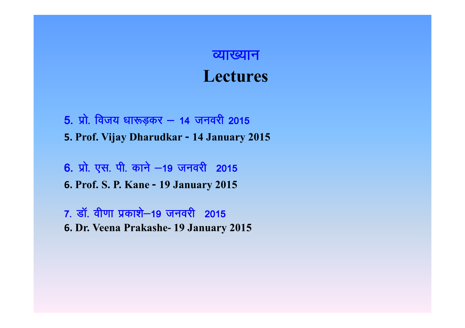# <u>त्याख्यान</u> **Lectures**

**5- i zk s- fot; /kk:M+dj & 14 tuojh 2015 5. Prof. Vijay Dharudkar - 14 January 2015**

**6- i zk s- ,l- ih- dku s &19 tuojh 2015 6. Prof. S. P. Kane - 19 January 2015**

**7- Mk W- oh.kk i zdk"ks&19 tuojh 2015 6. Dr. Veena Prakashe- 19 January 2015**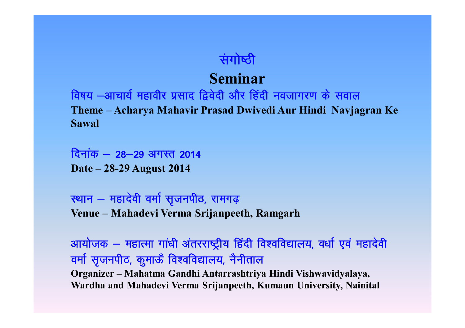## **संगोष्ठी**

# **Seminar**

**fo'k; &vkpk;Z egkohj i zlkn f}o snh vk Sj fg anh uotkxj.k d s loky Theme – Acharya Mahavir Prasad Dwivedi Aur Hindi Navjagran Ke Sawal**

<u> दिनांक – 28–29 अगस्त 2014</u> **Date – 28-29 August 2014**

**LFkku & egknsoh oek Z l `tuihB] jkex< + Venue – Mahadevi Verma Srijanpeeth, Ramgarh**

**vk;k std & egkRek xk a/kh v arjjk'Vªh; fg anh fo"ofo|ky;] o/kk Z ,o a egkn soh** वर्मा सृजनपीठ, कुमाऊँ विश्वविद्यालय, नैनीताल **Organizer – Mahatma Gandhi Antarrashtriya Hindi Vishwavidyalaya, Wardha and Mahadevi Verma Srijanpeeth, Kumaun University, Nainital**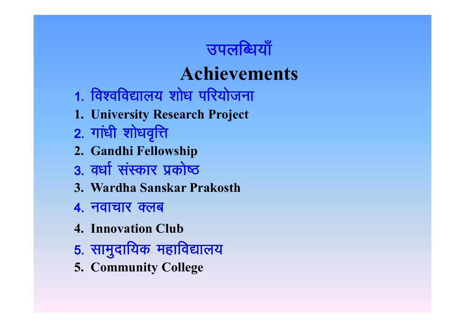

# **Achievements**

- 1. विश्वविद्यालय शोध परियोजना
- 1. University Research Project
- 2. गांधी शोधवृत्ति
- 2. Gandhi Fellowship
- 3. वर्धा संस्कार प्रकोष्ठ
- 3. Wardha Sanskar Prakosth
- 4. नवाचार क्लब
- **4. Innovation Club**
- 5. सामुदायिक महाविद्यालय
- **5. Community College**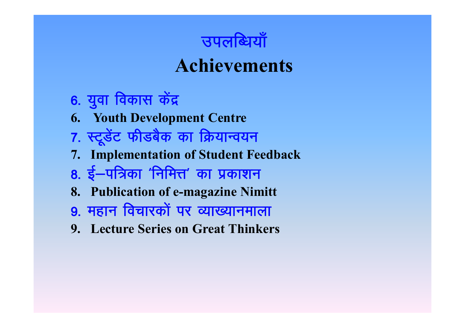

# **Achievements**

- 6. युवा विकास केंद्र
- **6. Youth Development Centre**
- 7. स्टूडेंट फीडबैक का क्रियान्वयन
- 7. Implementation of Student Feedback
- 8. ई–पत्रिका 'निमित्त' का प्रकाशन
- 8. Publication of e-magazine Nimitt
- 9. महान विचारकों पर व्याख्यानमाला
- 9. Lecture Series on Great Thinkers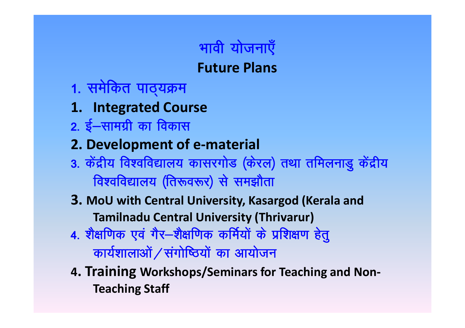

- 1. समेकित पाठ्यक्रम
- **1. Integrated Course**
- **2. ई–सामग्री का विकास**

# **2. Development of e-material**

- 3. केंद्रीय विश्वविद्यालय कासरगोड (केरल) तथा तमिलनाडु केंद्रीय **fdश्वविद्यालय (तिरूवरूर) से समझौता**
- **3. MoU with Central University, Kasargod (Kerala and Tamilnadu Central University (Thrivarur)**
- **4- "k S{kf.kd ,o a x Sj&"kS{kf.kd dfe Z;ksa d s i zf"k{k.k g sr q <u>कार्यशालाओं / संगोष्ठियों का आयोजन</u>**
- **4. Training Workshops/Seminars for Teaching and Non-Teaching Staff**